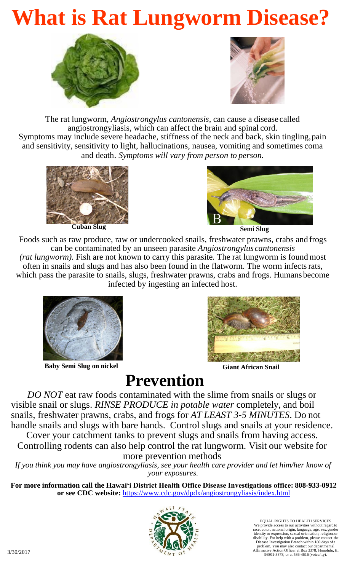# **What is Rat Lungworm Disease?**





The rat lungworm, *Angiostrongylus cantonensis,* can cause a disease called angiostrongyliasis, which can affect the brain and spinal cord. Symptoms may include severe headache, stiffness of the neck and back, skin tingling,pain and sensitivity, sensitivity to light, hallucinations, nausea, vomiting and sometimes coma and death. *Symptoms will vary from person to person.*



**Cuban Slug Semi** Slug



Foods such as raw produce, raw or undercooked snails, freshwater prawns, crabs and frogs can be contaminated by an unseen parasite *Angiostrongylus cantonensis (rat lungworm).* Fish are not known to carry this parasite*.* The rat lungworm is found most often in snails and slugs and has also been found in the flatworm. The worm infectsrats, which pass the parasite to snails, slugs, freshwater prawns, crabs and frogs. Humansbecome infected by ingesting an infected host.



**Baby Semi Slug on nickel**



**Giant African Snail**

## **Prevention**

*DO NOT* eat raw foods contaminated with the slime from snails or slugs or visible snail or slugs. *RINSE PRODUCE in potable water* completely, and boil snails, freshwater prawns, crabs, and frogs for *AT LEAST 3-5 MINUTES*. Do not handle snails and slugs with bare hands. Control slugs and snails at your residence.

Cover your catchment tanks to prevent slugs and snails from having access. Controlling rodents can also help control the rat lungworm. Visit our website for more prevention methods

*If you think you may have angiostrongyliasis, see your health care provider and let him/her know of your exposures.*

**For more information call the Hawai'i District Health Office Disease Investigations office: 808-933-0912 or see CDC website:** <https://www.cdc.gov/dpdx/angiostrongyliasis/index.html>



EQUAL RIGHTS TO HEALTH SERVICES We provide access to our activities without regard to race, color, national origin, language, age, sex, gender identity or expression, sexual orientation, religion, or disability. For help with a problem, please contact the<br>Disease Investigation Branch within 180 days of a<br>problem. You may also contact our departmental<br>Affirmative Action Officer at Box 3378, Honolulu, Hi<br>96801-3378, or a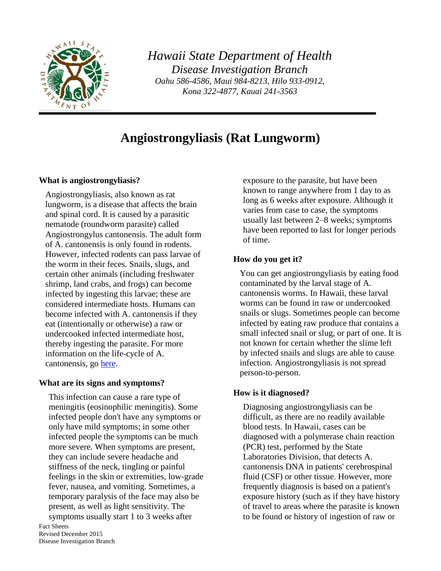

*Hawaii State Department of Health Disease Investigation Branch Oahu 586-4586, Maui 984-8213, Hilo 933-0912, Kona 322-4877, Kauai 241-3563*

### **Angiostrongyliasis (Rat Lungworm)**

#### **What is angiostrongyliasis?**

Angiostrongyliasis, also known as rat lungworm, is a disease that affects the brain and spinal cord. It is caused by a parasitic nematode (roundworm parasite) called Angiostrongylus cantonensis. The adult form of A. cantonensis is only found in rodents. However, infected rodents can pass larvae of the worm in their feces. Snails, slugs, and certain other animals (including freshwater shrimp, land crabs, and frogs) can become infected by ingesting this larvae; these are considered intermediate hosts. Humans can become infected with A. cantonensis if they eat (intentionally or otherwise) a raw or undercooked infected intermediate host, thereby ingesting the parasite. For more information on the life-cycle of A. cantonensis, go [here.](http://www.cdc.gov/parasites/angiostrongylus/biology.html)

#### **What are its signs and symptoms?**

This infection can cause a rare type of meningitis (eosinophilic meningitis). Some infected people don't have any symptoms or only have mild symptoms; in some other infected people the symptoms can be much more severe. When symptoms are present, they can include severe headache and stiffness of the neck, tingling or painful feelings in the skin or extremities, low-grade fever, nausea, and vomiting. Sometimes, a temporary paralysis of the face may also be present, as well as light sensitivity. The symptoms usually start 1 to 3 weeks after

Fact Sheets Revised December 2015 Disease Investigation Branch exposure to the parasite, but have been known to range anywhere from 1 day to as long as 6 weeks after exposure. Although it varies from case to case, the symptoms usually last between 2–8 weeks; symptoms have been reported to last for longer periods of time.

#### **How do you get it?**

You can get angiostrongyliasis by eating food contaminated by the larval stage of A. cantonensis worms. In Hawaii, these larval worms can be found in raw or undercooked snails or slugs. Sometimes people can become infected by eating raw produce that contains a small infected snail or slug, or part of one. It is not known for certain whether the slime left by infected snails and slugs are able to cause infection. Angiostrongyliasis is not spread person-to-person.

#### **How is it diagnosed?**

Diagnosing angiostrongyliasis can be difficult, as there are no readily available blood tests. In Hawaii, cases can be diagnosed with a polymerase chain reaction (PCR) test, performed by the State Laboratories Division, that detects A. cantonensis DNA in patients' cerebrospinal fluid (CSF) or other tissue. However, more frequently diagnosis is based on a patient's exposure history (such as if they have history of travel to areas where the parasite is known to be found or history of ingestion of raw or